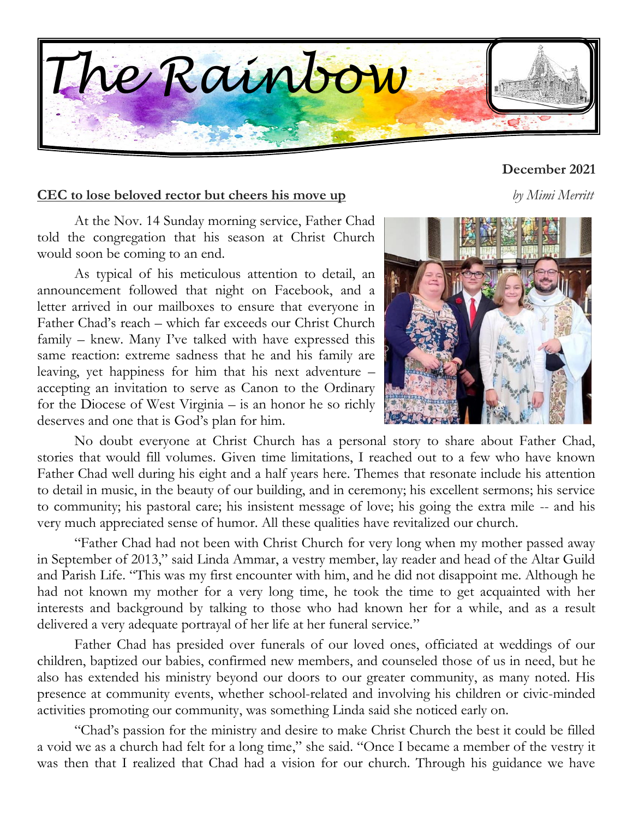

#### **December 2021**

#### **CEC to lose beloved rector but cheers his move up** *by Mimi Merritt*

At the Nov. 14 Sunday morning service, Father Chad told the congregation that his season at Christ Church would soon be coming to an end.

As typical of his meticulous attention to detail, an announcement followed that night on Facebook, and a letter arrived in our mailboxes to ensure that everyone in Father Chad's reach – which far exceeds our Christ Church family – knew. Many I've talked with have expressed this same reaction: extreme sadness that he and his family are leaving, yet happiness for him that his next adventure – accepting an invitation to serve as Canon to the Ordinary for the Diocese of West Virginia – is an honor he so richly deserves and one that is God's plan for him.



No doubt everyone at Christ Church has a personal story to share about Father Chad, stories that would fill volumes. Given time limitations, I reached out to a few who have known Father Chad well during his eight and a half years here. Themes that resonate include his attention to detail in music, in the beauty of our building, and in ceremony; his excellent sermons; his service to community; his pastoral care; his insistent message of love; his going the extra mile -- and his very much appreciated sense of humor. All these qualities have revitalized our church.

"Father Chad had not been with Christ Church for very long when my mother passed away in September of 2013," said Linda Ammar, a vestry member, lay reader and head of the Altar Guild and Parish Life. "This was my first encounter with him, and he did not disappoint me. Although he had not known my mother for a very long time, he took the time to get acquainted with her interests and background by talking to those who had known her for a while, and as a result delivered a very adequate portrayal of her life at her funeral service."

Father Chad has presided over funerals of our loved ones, officiated at weddings of our children, baptized our babies, confirmed new members, and counseled those of us in need, but he also has extended his ministry beyond our doors to our greater community, as many noted. His presence at community events, whether school-related and involving his children or civic-minded activities promoting our community, was something Linda said she noticed early on.

"Chad's passion for the ministry and desire to make Christ Church the best it could be filled a void we as a church had felt for a long time," she said. "Once I became a member of the vestry it was then that I realized that Chad had a vision for our church. Through his guidance we have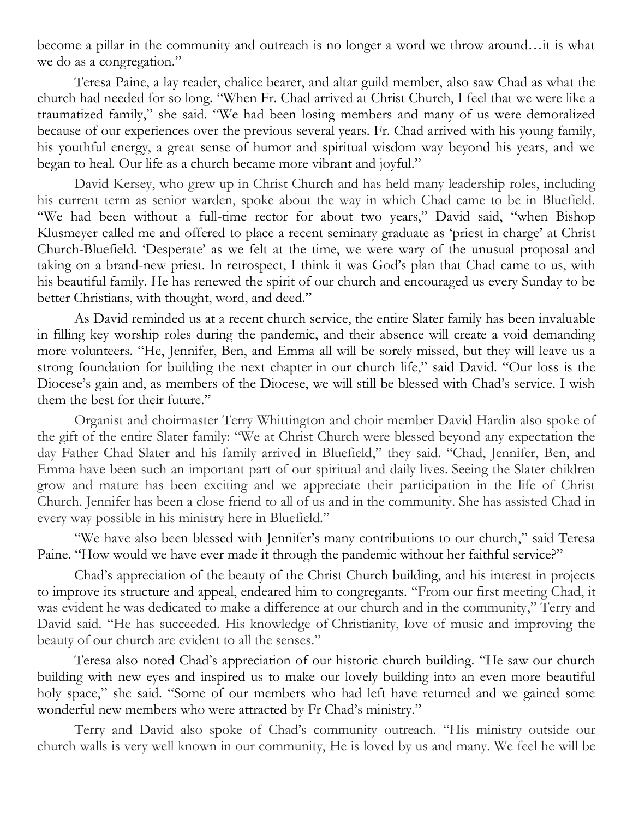become a pillar in the community and outreach is no longer a word we throw around…it is what we do as a congregation."

Teresa Paine, a lay reader, chalice bearer, and altar guild member, also saw Chad as what the church had needed for so long. "When Fr. Chad arrived at Christ Church, I feel that we were like a traumatized family," she said. "We had been losing members and many of us were demoralized because of our experiences over the previous several years. Fr. Chad arrived with his young family, his youthful energy, a great sense of humor and spiritual wisdom way beyond his years, and we began to heal. Our life as a church became more vibrant and joyful."

David Kersey, who grew up in Christ Church and has held many leadership roles, including his current term as senior warden, spoke about the way in which Chad came to be in Bluefield. "We had been without a full-time rector for about two years," David said, "when Bishop Klusmeyer called me and offered to place a recent seminary graduate as 'priest in charge' at Christ Church-Bluefield. 'Desperate' as we felt at the time, we were wary of the unusual proposal and taking on a brand-new priest. In retrospect, I think it was God's plan that Chad came to us, with his beautiful family. He has renewed the spirit of our church and encouraged us every Sunday to be better Christians, with thought, word, and deed."

As David reminded us at a recent church service, the entire Slater family has been invaluable in filling key worship roles during the pandemic, and their absence will create a void demanding more volunteers. "He, Jennifer, Ben, and Emma all will be sorely missed, but they will leave us a strong foundation for building the next chapter in our church life," said David. "Our loss is the Diocese's gain and, as members of the Diocese, we will still be blessed with Chad's service. I wish them the best for their future."

Organist and choirmaster Terry Whittington and choir member David Hardin also spoke of the gift of the entire Slater family: "We at Christ Church were blessed beyond any expectation the day Father Chad Slater and his family arrived in Bluefield," they said. "Chad, Jennifer, Ben, and Emma have been such an important part of our spiritual and daily lives. Seeing the Slater children grow and mature has been exciting and we appreciate their participation in the life of Christ Church. Jennifer has been a close friend to all of us and in the community. She has assisted Chad in every way possible in his ministry here in Bluefield."

"We have also been blessed with Jennifer's many contributions to our church," said Teresa Paine. "How would we have ever made it through the pandemic without her faithful service?"

Chad's appreciation of the beauty of the Christ Church building, and his interest in projects to improve its structure and appeal, endeared him to congregants. "From our first meeting Chad, it was evident he was dedicated to make a difference at our church and in the community," Terry and David said. "He has succeeded. His knowledge of Christianity, love of music and improving the beauty of our church are evident to all the senses."

Teresa also noted Chad's appreciation of our historic church building. "He saw our church building with new eyes and inspired us to make our lovely building into an even more beautiful holy space," she said. "Some of our members who had left have returned and we gained some wonderful new members who were attracted by Fr Chad's ministry."

Terry and David also spoke of Chad's community outreach. "His ministry outside our church walls is very well known in our community, He is loved by us and many. We feel he will be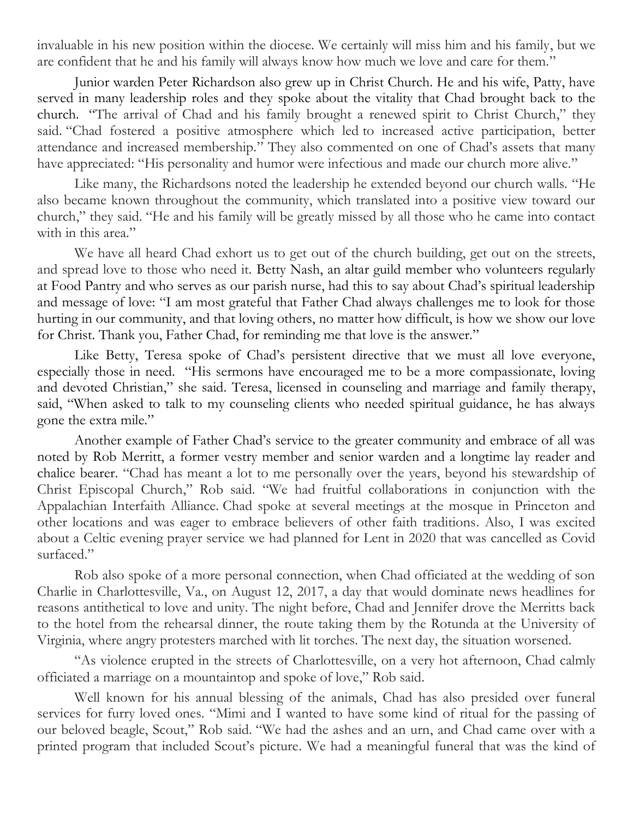invaluable in his new position within the diocese. We certainly will miss him and his family, but we are confident that he and his family will always know how much we love and care for them."

Junior warden Peter Richardson also grew up in Christ Church. He and his wife, Patty, have served in many leadership roles and they spoke about the vitality that Chad brought back to the church. "The arrival of Chad and his family brought a renewed spirit to Christ Church," they said. "Chad fostered a positive atmosphere which led to increased active participation, better attendance and increased membership." They also commented on one of Chad's assets that many have appreciated: "His personality and humor were infectious and made our church more alive."

Like many, the Richardsons noted the leadership he extended beyond our church walls. "He also became known throughout the community, which translated into a positive view toward our church," they said. "He and his family will be greatly missed by all those who he came into contact with in this area."

We have all heard Chad exhort us to get out of the church building, get out on the streets, and spread love to those who need it. Betty Nash, an altar guild member who volunteers regularly at Food Pantry and who serves as our parish nurse, had this to say about Chad's spiritual leadership and message of love: "I am most grateful that Father Chad always challenges me to look for those hurting in our community, and that loving others, no matter how difficult, is how we show our love for Christ. Thank you, Father Chad, for reminding me that love is the answer."

Like Betty, Teresa spoke of Chad's persistent directive that we must all love everyone, especially those in need. "His sermons have encouraged me to be a more compassionate, loving and devoted Christian," she said. Teresa, licensed in counseling and marriage and family therapy, said, "When asked to talk to my counseling clients who needed spiritual guidance, he has always gone the extra mile."

Another example of Father Chad's service to the greater community and embrace of all was noted by Rob Merritt, a former vestry member and senior warden and a longtime lay reader and chalice bearer. "Chad has meant a lot to me personally over the years, beyond his stewardship of Christ Episcopal Church," Rob said. "We had fruitful collaborations in conjunction with the Appalachian Interfaith Alliance. Chad spoke at several meetings at the mosque in Princeton and other locations and was eager to embrace believers of other faith traditions. Also, I was excited about a Celtic evening prayer service we had planned for Lent in 2020 that was cancelled as Covid surfaced."

Rob also spoke of a more personal connection, when Chad officiated at the wedding of son Charlie in Charlottesville, Va., on August 12, 2017, a day that would dominate news headlines for reasons antithetical to love and unity. The night before, Chad and Jennifer drove the Merritts back to the hotel from the rehearsal dinner, the route taking them by the Rotunda at the University of Virginia, where angry protesters marched with lit torches. The next day, the situation worsened.

"As violence erupted in the streets of Charlottesville, on a very hot afternoon, Chad calmly officiated a marriage on a mountaintop and spoke of love," Rob said.

Well known for his annual blessing of the animals, Chad has also presided over funeral services for furry loved ones. "Mimi and I wanted to have some kind of ritual for the passing of our beloved beagle, Scout," Rob said. "We had the ashes and an urn, and Chad came over with a printed program that included Scout's picture. We had a meaningful funeral that was the kind of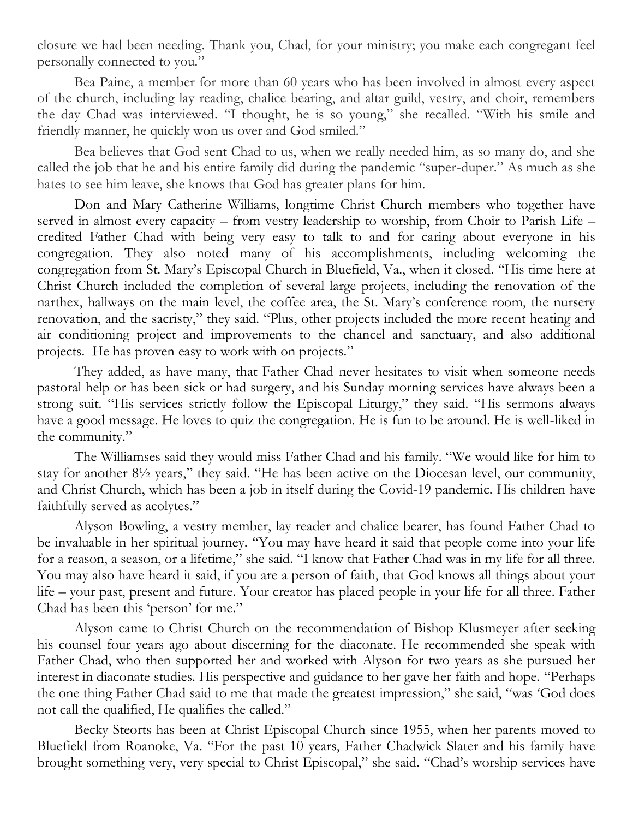closure we had been needing. Thank you, Chad, for your ministry; you make each congregant feel personally connected to you."

Bea Paine, a member for more than 60 years who has been involved in almost every aspect of the church, including lay reading, chalice bearing, and altar guild, vestry, and choir, remembers the day Chad was interviewed. "I thought, he is so young," she recalled. "With his smile and friendly manner, he quickly won us over and God smiled."

Bea believes that God sent Chad to us, when we really needed him, as so many do, and she called the job that he and his entire family did during the pandemic "super-duper." As much as she hates to see him leave, she knows that God has greater plans for him.

Don and Mary Catherine Williams, longtime Christ Church members who together have served in almost every capacity – from vestry leadership to worship, from Choir to Parish Life – credited Father Chad with being very easy to talk to and for caring about everyone in his congregation. They also noted many of his accomplishments, including welcoming the congregation from St. Mary's Episcopal Church in Bluefield, Va., when it closed. "His time here at Christ Church included the completion of several large projects, including the renovation of the narthex, hallways on the main level, the coffee area, the St. Mary's conference room, the nursery renovation, and the sacristy," they said. "Plus, other projects included the more recent heating and air conditioning project and improvements to the chancel and sanctuary, and also additional projects. He has proven easy to work with on projects."

They added, as have many, that Father Chad never hesitates to visit when someone needs pastoral help or has been sick or had surgery, and his Sunday morning services have always been a strong suit. "His services strictly follow the Episcopal Liturgy," they said. "His sermons always have a good message. He loves to quiz the congregation. He is fun to be around. He is well-liked in the community."

The Williamses said they would miss Father Chad and his family. "We would like for him to stay for another 8½ years," they said. "He has been active on the Diocesan level, our community, and Christ Church, which has been a job in itself during the Covid-19 pandemic. His children have faithfully served as acolytes."

Alyson Bowling, a vestry member, lay reader and chalice bearer, has found Father Chad to be invaluable in her spiritual journey. "You may have heard it said that people come into your life for a reason, a season, or a lifetime," she said. "I know that Father Chad was in my life for all three. You may also have heard it said, if you are a person of faith, that God knows all things about your life – your past, present and future. Your creator has placed people in your life for all three. Father Chad has been this 'person' for me."

Alyson came to Christ Church on the recommendation of Bishop Klusmeyer after seeking his counsel four years ago about discerning for the diaconate. He recommended she speak with Father Chad, who then supported her and worked with Alyson for two years as she pursued her interest in diaconate studies. His perspective and guidance to her gave her faith and hope. "Perhaps the one thing Father Chad said to me that made the greatest impression," she said, "was 'God does not call the qualified, He qualifies the called."

Becky Steorts has been at Christ Episcopal Church since 1955, when her parents moved to Bluefield from Roanoke, Va. "For the past 10 years, Father Chadwick Slater and his family have brought something very, very special to Christ Episcopal," she said. "Chad's worship services have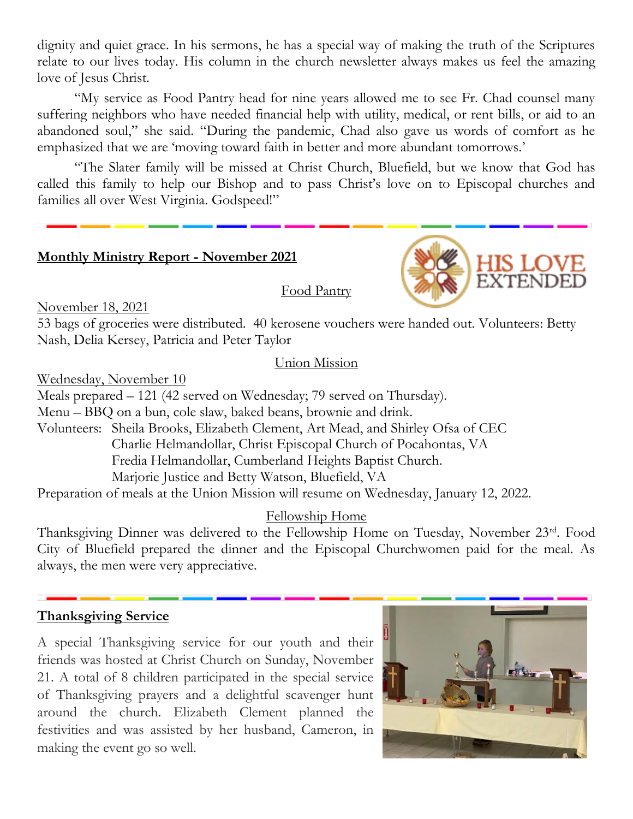dignity and quiet grace. In his sermons, he has a special way of making the truth of the Scriptures relate to our lives today. His column in the church newsletter always makes us feel the amazing love of Jesus Christ.

"My service as Food Pantry head for nine years allowed me to see Fr. Chad counsel many suffering neighbors who have needed financial help with utility, medical, or rent bills, or aid to an abandoned soul," she said. "During the pandemic, Chad also gave us words of comfort as he emphasized that we are 'moving toward faith in better and more abundant tomorrows.'

"The Slater family will be missed at Christ Church, Bluefield, but we know that God has called this family to help our Bishop and to pass Christ's love on to Episcopal churches and families all over West Virginia. Godspeed!"

#### **Monthly Ministry Report - November 2021**



November 18, 2021

53 bags of groceries were distributed. 40 kerosene vouchers were handed out. Volunteers: Betty Nash, Delia Kersey, Patricia and Peter Taylor

#### Union Mission

Food Pantry

Wednesday, November 10

Meals prepared – 121 (42 served on Wednesday; 79 served on Thursday). Menu – BBQ on a bun, cole slaw, baked beans, brownie and drink. Volunteers: Sheila Brooks, Elizabeth Clement, Art Mead, and Shirley Ofsa of CEC Charlie Helmandollar, Christ Episcopal Church of Pocahontas, VA Fredia Helmandollar, Cumberland Heights Baptist Church. Marjorie Justice and Betty Watson, Bluefield, VA

Preparation of meals at the Union Mission will resume on Wednesday, January 12, 2022.

#### Fellowship Home

Thanksgiving Dinner was delivered to the Fellowship Home on Tuesday, November 23rd. Food City of Bluefield prepared the dinner and the Episcopal Churchwomen paid for the meal. As always, the men were very appreciative.

#### **Thanksgiving Service**

A special Thanksgiving service for our youth and their friends was hosted at Christ Church on Sunday, November 21. A total of 8 children participated in the special service of Thanksgiving prayers and a delightful scavenger hunt around the church. Elizabeth Clement planned the festivities and was assisted by her husband, Cameron, in making the event go so well.

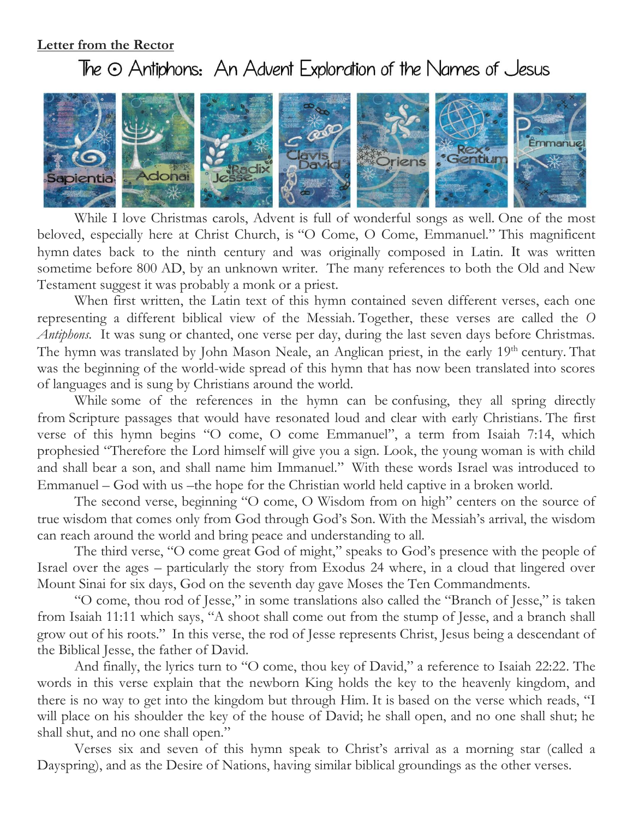#### **Letter from the Rector**

### The  $\odot$  Antiphons: An Advent Exploration of the Names of Jesus



While I love Christmas carols, Advent is full of wonderful songs as well. One of the most beloved, especially here at Christ Church, is "O Come, O Come, Emmanuel." This magnificent hymn dates back to the ninth century and was originally composed in Latin. It was written sometime before 800 AD, by an unknown writer. The many references to both the Old and New Testament suggest it was probably a monk or a priest.

When first written, the Latin text of this hymn contained seven different verses, each one representing a different biblical view of the Messiah. Together, these verses are called the *O Antiphons.* It was sung or chanted, one verse per day, during the last seven days before Christmas. The hymn was translated by John Mason Neale, an Anglican priest, in the early 19<sup>th</sup> century. That was the beginning of the world-wide spread of this hymn that has now been translated into scores of languages and is sung by Christians around the world.

While some of the references in the hymn can be confusing, they all spring directly from Scripture passages that would have resonated loud and clear with early Christians. The first verse of this hymn begins "O come, O come Emmanuel", a term from Isaiah 7:14, which prophesied "Therefore the Lord himself will give you a sign. Look, the young woman is with child and shall bear a son, and shall name him Immanuel." With these words Israel was introduced to Emmanuel – God with us –the hope for the Christian world held captive in a broken world.

The second verse, beginning "O come, O Wisdom from on high" centers on the source of true wisdom that comes only from God through God's Son. With the Messiah's arrival, the wisdom can reach around the world and bring peace and understanding to all.

The third verse, "O come great God of might," speaks to God's presence with the people of Israel over the ages – particularly the story from Exodus 24 where, in a cloud that lingered over Mount Sinai for six days, God on the seventh day gave Moses the Ten Commandments.

"O come, thou rod of Jesse," in some translations also called the "Branch of Jesse," is taken from Isaiah 11:11 which says, "A shoot shall come out from the stump of Jesse, and a branch shall grow out of his roots." In this verse, the rod of Jesse represents Christ, Jesus being a descendant of the Biblical Jesse, the father of David.

And finally, the lyrics turn to "O come, thou key of David," a reference to Isaiah 22:22. The words in this verse explain that the newborn King holds the key to the heavenly kingdom, and there is no way to get into the kingdom but through Him. It is based on the verse which reads, "I will place on his shoulder the key of the house of David; he shall open, and no one shall shut; he shall shut, and no one shall open."

Verses six and seven of this hymn speak to Christ's arrival as a morning star (called a Dayspring), and as the Desire of Nations, having similar biblical groundings as the other verses.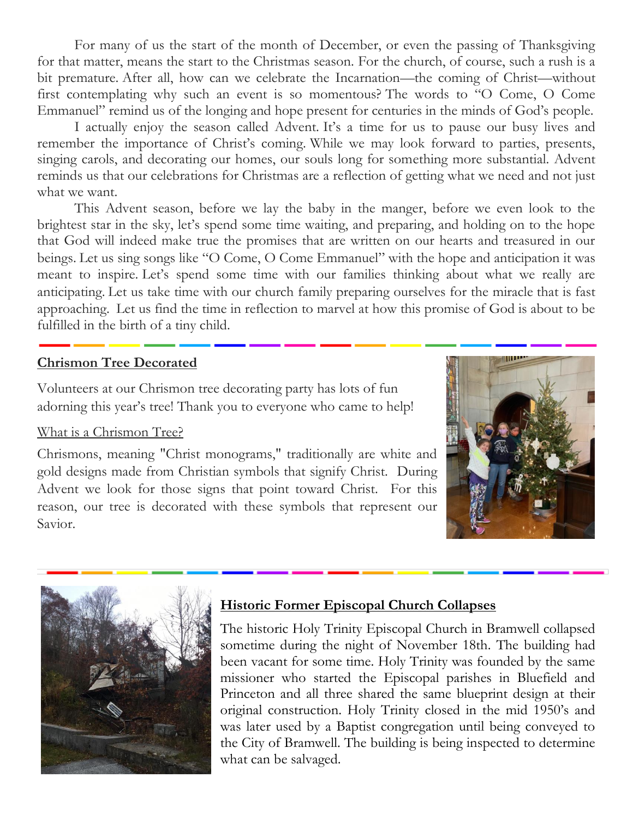For many of us the start of the month of December, or even the passing of Thanksgiving for that matter, means the start to the Christmas season. For the church, of course, such a rush is a bit premature. After all, how can we celebrate the Incarnation—the coming of Christ—without first contemplating why such an event is so momentous? The words to "O Come, O Come Emmanuel" remind us of the longing and hope present for centuries in the minds of God's people.

I actually enjoy the season called Advent. It's a time for us to pause our busy lives and remember the importance of Christ's coming. While we may look forward to parties, presents, singing carols, and decorating our homes, our souls long for something more substantial. Advent reminds us that our celebrations for Christmas are a reflection of getting what we need and not just what we want.

This Advent season, before we lay the baby in the manger, before we even look to the brightest star in the sky, let's spend some time waiting, and preparing, and holding on to the hope that God will indeed make true the promises that are written on our hearts and treasured in our beings. Let us sing songs like "O Come, O Come Emmanuel" with the hope and anticipation it was meant to inspire. Let's spend some time with our families thinking about what we really are anticipating. Let us take time with our church family preparing ourselves for the miracle that is fast approaching. Let us find the time in reflection to marvel at how this promise of God is about to be fulfilled in the birth of a tiny child.

#### **Chrismon Tree Decorated**

Volunteers at our Chrismon tree decorating party has lots of fun adorning this year's tree! Thank you to everyone who came to help!

#### What is a Chrismon Tree?

Chrismons, meaning "Christ monograms," traditionally are white and gold designs made from Christian symbols that signify Christ. During Advent we look for those signs that point toward Christ. For this reason, our tree is decorated with these symbols that represent our Savior.





#### **Historic Former Episcopal Church Collapses**

The historic Holy Trinity Episcopal Church in Bramwell collapsed sometime during the night of November 18th. The building had been vacant for some time. Holy Trinity was founded by the same missioner who started the Episcopal parishes in Bluefield and Princeton and all three shared the same blueprint design at their original construction. Holy Trinity closed in the mid 1950's and was later used by a Baptist congregation until being conveyed to the City of Bramwell. The building is being inspected to determine what can be salvaged.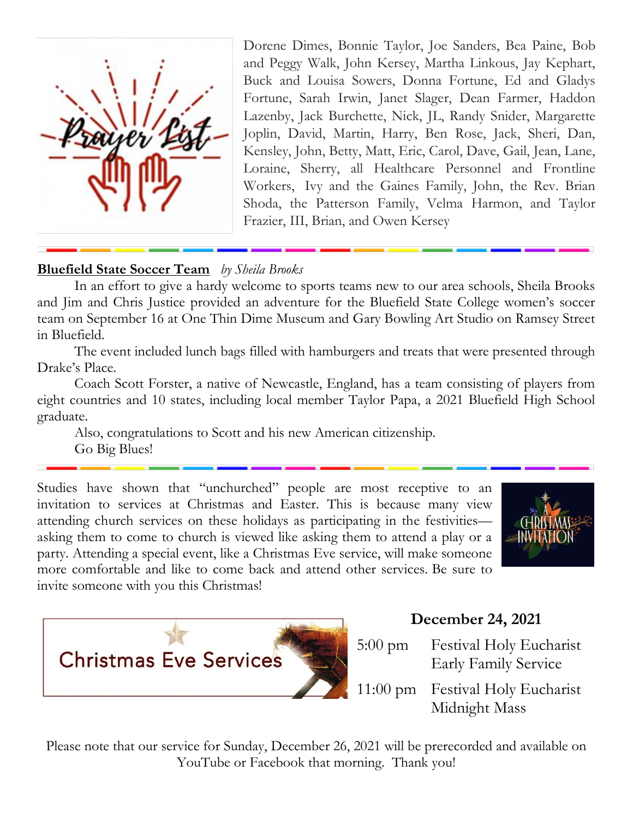

Dorene Dimes, Bonnie Taylor, Joe Sanders, Bea Paine, Bob and Peggy Walk, John Kersey, Martha Linkous, Jay Kephart, Buck and Louisa Sowers, Donna Fortune, Ed and Gladys Fortune, Sarah Irwin, Janet Slager, Dean Farmer, Haddon Lazenby, Jack Burchette, Nick, JL, Randy Snider, Margarette Joplin, David, Martin, Harry, Ben Rose, Jack, Sheri, Dan, Kensley, John, Betty, Matt, Eric, Carol, Dave, Gail, Jean, Lane, Loraine, Sherry, all Healthcare Personnel and Frontline Workers, Ivy and the Gaines Family, John, the Rev. Brian Shoda, the Patterson Family, Velma Harmon, and Taylor Frazier, III, Brian, and Owen Kersey

#### **Bluefield State Soccer Team** *by Sheila Brooks*

In an effort to give a hardy welcome to sports teams new to our area schools, Sheila Brooks and Jim and Chris Justice provided an adventure for the Bluefield State College women's soccer team on September 16 at One Thin Dime Museum and Gary Bowling Art Studio on Ramsey Street in Bluefield.

The event included lunch bags filled with hamburgers and treats that were presented through Drake's Place.

Coach Scott Forster, a native of Newcastle, England, has a team consisting of players from eight countries and 10 states, including local member Taylor Papa, a 2021 Bluefield High School graduate.

Also, congratulations to Scott and his new American citizenship. Go Big Blues!

Studies have shown that "unchurched" people are most receptive to an invitation to services at Christmas and Easter. This is because many view attending church services on these holidays as participating in the festivities asking them to come to church is viewed like asking them to attend a play or a party. Attending a special event, like a Christmas Eve service, will make someone more comfortable and like to come back and attend other services. Be sure to invite someone with you this Christmas!





#### **December 24, 2021**

5:00 pm Festival Holy Eucharist Early Family Service 11:00 pm Festival Holy Eucharist Midnight Mass

Please note that our service for Sunday, December 26, 2021 will be prerecorded and available on YouTube or Facebook that morning. Thank you!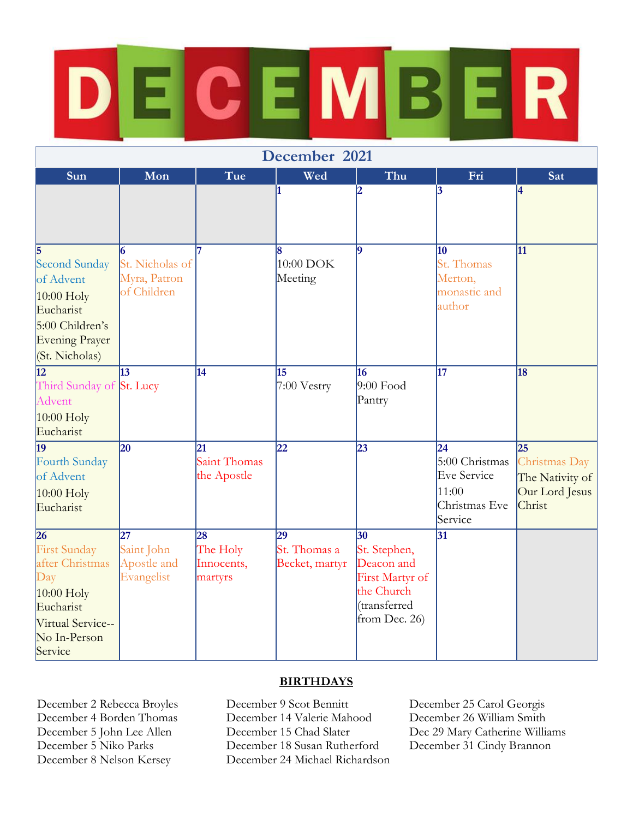# $CEMBE$  $\overline{\mathsf{R}}$

| December 2021                                                                                                                                 |                                                            |                                         |                                      |                                                                                                    |                                                                                 |                                                                                 |  |
|-----------------------------------------------------------------------------------------------------------------------------------------------|------------------------------------------------------------|-----------------------------------------|--------------------------------------|----------------------------------------------------------------------------------------------------|---------------------------------------------------------------------------------|---------------------------------------------------------------------------------|--|
| Sun                                                                                                                                           | Mon                                                        | Tue                                     | Wed                                  | Thu                                                                                                | Fri                                                                             | Sat                                                                             |  |
|                                                                                                                                               |                                                            |                                         | 1                                    | 12                                                                                                 | 3                                                                               | 4                                                                               |  |
| <b>Second Sunday</b><br>of Advent<br>$10:00$ Holy<br>Eucharist<br>5:00 Children's<br>Evening Prayer<br>(St. Nicholas)                         | St. Nicholas of<br>Myra, Patron<br>of Children             |                                         | l8<br>10:00 DOK<br>Meeting           | <b>g</b>                                                                                           | 10<br>St. Thomas<br>Merton,<br>monastic and<br>author                           | 11                                                                              |  |
| $\overline{12}$<br>Third Sunday of St. Lucy<br>Advent<br>$10:00$ Holy<br>Eucharist                                                            | $\vert$ 13                                                 | $\overline{14}$                         | 15<br>7:00 Vestry                    | 16<br>$9:00$ Food<br>Pantry                                                                        | $\overline{17}$                                                                 | 18                                                                              |  |
| 19<br>Fourth Sunday<br>of Advent<br>$10:00$ Holy<br>Eucharist                                                                                 | 20                                                         | 21<br>Saint Thomas<br>the Apostle       | 22                                   | 23                                                                                                 | 24<br>5:00 Christmas<br><b>Eve Service</b><br>11:00<br>Christmas Eve<br>Service | $\overline{25}$<br>Christmas Day<br>The Nativity of<br>Our Lord Jesus<br>Christ |  |
| $\overline{26}$<br><b>First Sunday</b><br>after Christmas<br>Day<br>$10:00$ Holy<br>Eucharist<br>Virtual Service--<br>No In-Person<br>Service | $\overline{27}$<br>Saint John<br>Apostle and<br>Evangelist | 28<br>The Holy<br>Innocents,<br>martyrs | 29<br>St. Thomas a<br>Becket, martyr | 30<br>St. Stephen,<br>Deacon and<br>First Martyr of<br>the Church<br>(transferred<br>from Dec. 26) | $\overline{31}$                                                                 |                                                                                 |  |

#### **BIRTHDAYS**

December 2 Rebecca Broyles December 9 Scot Bennitt December 25 Carol Georgis December 4 Borden Thomas December 14 Valerie Mahood<br>December 5 John Lee Allen December 15 Chad Slater December 5 John Lee Allen December 15 Chad Slater Dec 29 Mary Catherine Williams<br>December 5 Niko Parks December 18 Susan Rutherford December 31 Cindy Brannon December 18 Susan Rutherford December 8 Nelson Kersey December 24 Michael Richardson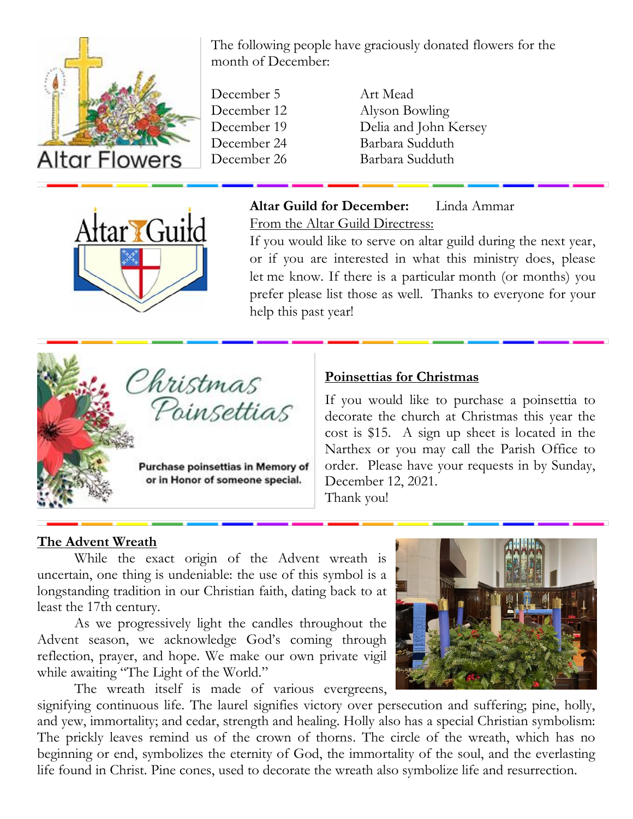

The following people have graciously donated flowers for the month of December:

- December 5 Art Mead
- December 12 Alyson Bowling December 19 Delia and John Kersey<br>December 24 Barbara Sudduth Barbara Sudduth December 26 Barbara Sudduth



#### **Altar Guild for December:** Linda Ammar

From the Altar Guild Directress:

If you would like to serve on altar guild during the next year, or if you are interested in what this ministry does, please let me know. If there is a particular month (or months) you prefer please list those as well. Thanks to everyone for your help this past year!

# Christmas<br>Poinsettias

Purchase poinsettias in Memory of or in Honor of someone special.

#### **Poinsettias for Christmas**

If you would like to purchase a poinsettia to decorate the church at Christmas this year the cost is \$15. A sign up sheet is located in the Narthex or you may call the Parish Office to order. Please have your requests in by Sunday, December 12, 2021.

Thank you!

#### **The Advent Wreath**

While the exact origin of the Advent wreath is uncertain, one thing is undeniable: the use of this symbol is a longstanding tradition in our Christian faith, dating back to at least the 17th century.

As we progressively light the candles throughout the Advent season, we acknowledge God's coming through reflection, prayer, and hope. We make our own private vigil while awaiting "The Light of the World."

The wreath itself is made of various evergreens,

signifying continuous life. The laurel signifies victory over persecution and suffering; pine, holly, and yew, immortality; and cedar, strength and healing. Holly also has a special Christian symbolism: The prickly leaves remind us of the crown of thorns. The circle of the wreath, which has no beginning or end, symbolizes the eternity of God, the immortality of the soul, and the everlasting life found in Christ. Pine cones, used to decorate the wreath also symbolize life and resurrection.

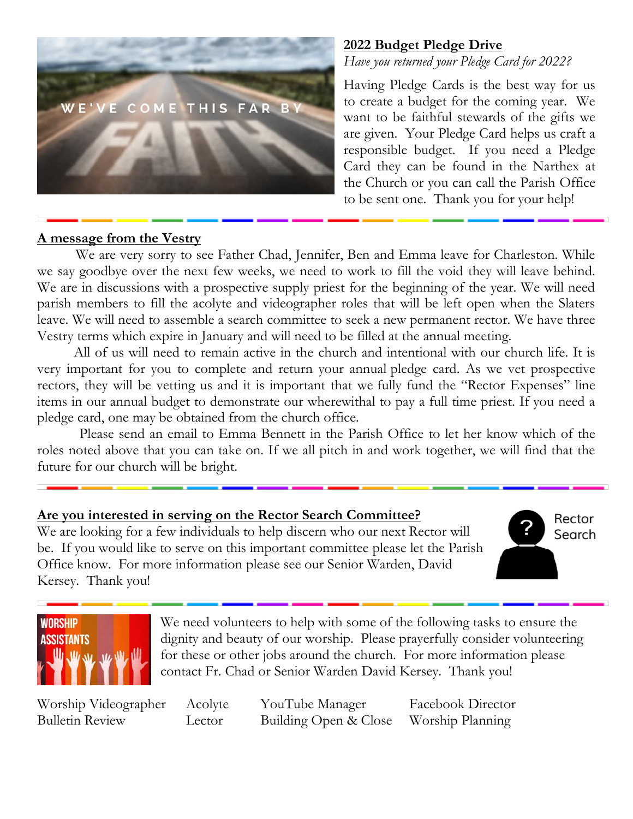

#### **2022 Budget Pledge Drive**

*Have you returned your Pledge Card for 2022?*

Having Pledge Cards is the best way for us to create a budget for the coming year. We want to be faithful stewards of the gifts we are given. Your Pledge Card helps us craft a responsible budget. If you need a Pledge Card they can be found in the Narthex at the Church or you can call the Parish Office to be sent one. Thank you for your help!

#### **A message from the Vestry**

 We are very sorry to see Father Chad, Jennifer, Ben and Emma leave for Charleston. While we say goodbye over the next few weeks, we need to work to fill the void they will leave behind. We are in discussions with a prospective supply priest for the beginning of the year. We will need parish members to fill the acolyte and videographer roles that will be left open when the Slaters leave. We will need to assemble a search committee to seek a new permanent rector. We have three Vestry terms which expire in January and will need to be filled at the annual meeting.

All of us will need to remain active in the church and intentional with our church life. It is very important for you to complete and return your annual pledge card. As we vet prospective rectors, they will be vetting us and it is important that we fully fund the "Rector Expenses" line items in our annual budget to demonstrate our wherewithal to pay a full time priest. If you need a pledge card, one may be obtained from the church office.

Please send an email to Emma Bennett in the Parish Office to let her know which of the roles noted above that you can take on. If we all pitch in and work together, we will find that the future for our church will be bright.

#### **Are you interested in serving on the Rector Search Committee?**

We are looking for a few individuals to help discern who our next Rector will be. If you would like to serve on this important committee please let the Parish Office know. For more information please see our Senior Warden, David Kersey. Thank you!

Rector Search



We need volunteers to help with some of the following tasks to ensure the dignity and beauty of our worship. Please prayerfully consider volunteering for these or other jobs around the church. For more information please contact Fr. Chad or Senior Warden David Kersey. Thank you!

Worship Videographer Acolyte YouTube Manager Facebook Director Bulletin Review Lector Building Open & Close Worship Planning